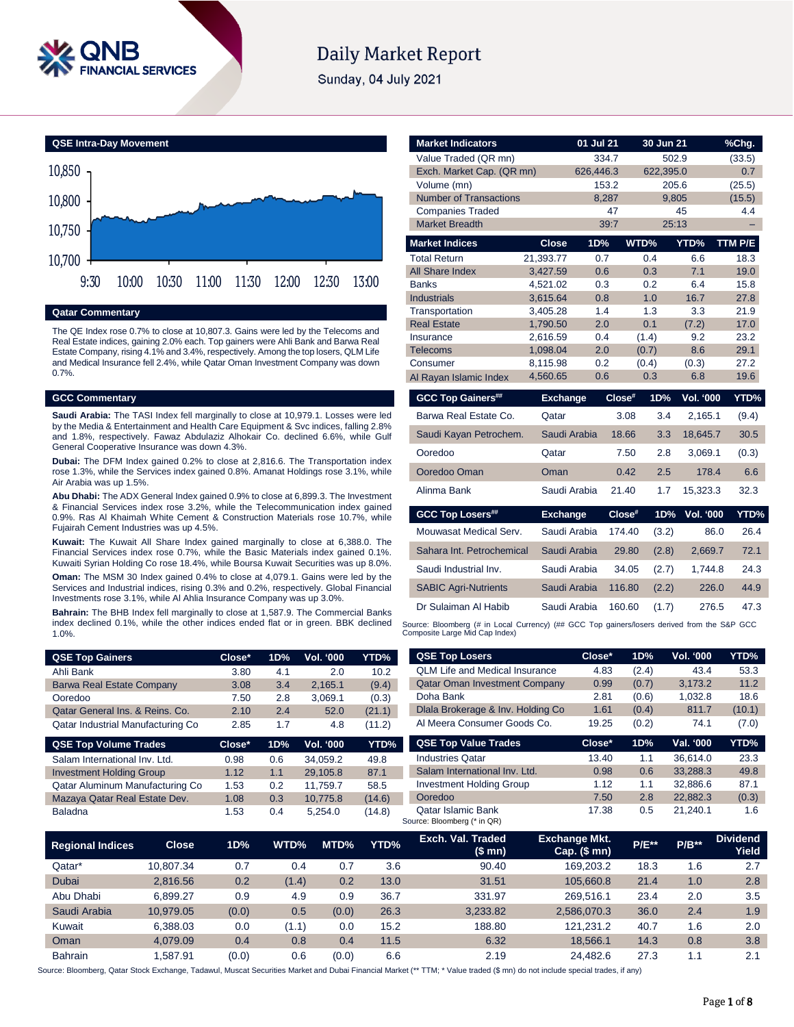

# **Daily Market Report**

Sunday, 04 July 2021



## **Qatar Commentary**

The QE Index rose 0.7% to close at 10,807.3. Gains were led by the Telecoms and Real Estate indices, gaining 2.0% each. Top gainers were Ahli Bank and Barwa Real Estate Company, rising 4.1% and 3.4%, respectively. Among the top losers, QLM Life and Medical Insurance fell 2.4%, while Qatar Oman Investment Company was down 0.7%.

## **GCC Commentary**

**Saudi Arabia:** The TASI Index fell marginally to close at 10,979.1. Losses were led by the Media & Entertainment and Health Care Equipment & Svc indices, falling 2.8% and 1.8%, respectively. Fawaz Abdulaziz Alhokair Co. declined 6.6%, while Gulf General Cooperative Insurance was down 4.3%.

**Dubai:** The DFM Index gained 0.2% to close at 2,816.6. The Transportation index rose 1.3%, while the Services index gained 0.8%. Amanat Holdings rose 3.1%, while Air Arabia was up 1.5%.

**Abu Dhabi:** The ADX General Index gained 0.9% to close at 6,899.3. The Investment & Financial Services index rose 3.2%, while the Telecommunication index gained 0.9%. Ras Al Khaimah White Cement & Construction Materials rose 10.7%, while Fujairah Cement Industries was up 4.5%.

**Kuwait:** The Kuwait All Share Index gained marginally to close at 6,388.0. The Financial Services index rose 0.7%, while the Basic Materials index gained 0.1%. Kuwaiti Syrian Holding Co rose 18.4%, while Boursa Kuwait Securities was up 8.0%.

**Oman:** The MSM 30 Index gained 0.4% to close at 4,079.1. Gains were led by the Services and Industrial indices, rising 0.3% and 0.2%, respectively. Global Financial Investments rose 3.1%, while Al Ahlia Insurance Company was up 3.0%.

**Bahrain:** The BHB Index fell marginally to close at 1,587.9. The Commercial Banks index declined 0.1%, while the other indices ended flat or in green. BBK declined 1.0%.

| <b>QSE Top Gainers</b>            | Close* | 1D% | Vol. '000 | YTD%   |
|-----------------------------------|--------|-----|-----------|--------|
| Ahli Bank                         | 3.80   | 4.1 | 2.0       | 10.2   |
| <b>Barwa Real Estate Company</b>  | 3.08   | 3.4 | 2.165.1   | (9.4)  |
| Ooredoo                           | 7.50   | 2.8 | 3.069.1   | (0.3)  |
| Qatar General Ins. & Reins. Co.   | 2.10   | 24  | 52.0      | (21.1) |
| Qatar Industrial Manufacturing Co | 2.85   | 17  | 4.8       | (11.2) |

| Close* | 1D% | <b>Vol. '000</b> | YTD%   |
|--------|-----|------------------|--------|
| 0.98   | 0.6 | 34.059.2         | 49.8   |
| 1.12   | 1.1 | 29.105.8         | 87.1   |
| 1.53   | 0.2 | 11.759.7         | 58.5   |
| 1.08   | 0.3 | 10.775.8         | (14.6) |
| 1.53   | 0.4 | 5.254.0          | (14.8) |
|        |     |                  |        |

| <b>Market Indicators</b>      |                 | $01$ Jul 21 |        | 30 Jun 21 |                  | %Chg.   |
|-------------------------------|-----------------|-------------|--------|-----------|------------------|---------|
| Value Traded (QR mn)          |                 | 334.7       |        | 502.9     |                  | (33.5)  |
| Exch. Market Cap. (QR mn)     |                 | 626,446.3   |        | 622,395.0 |                  | 0.7     |
| Volume (mn)                   |                 | 153.2       |        | 205.6     |                  | (25.5)  |
| <b>Number of Transactions</b> |                 | 8,287       |        | 9,805     |                  | (15.5)  |
| <b>Companies Traded</b>       |                 |             | 47     |           | 45               | 4.4     |
| <b>Market Breadth</b>         |                 | 39:7        |        | 25:13     |                  |         |
| <b>Market Indices</b>         | <b>Close</b>    | 1D%         |        | WTD%      | YTD%             | TTM P/E |
| <b>Total Return</b>           | 21,393.77       | 0.7         |        | 0.4       | 6.6              | 18.3    |
| All Share Index               | 3,427.59        | 0.6         |        | 0.3       | 7.1              | 19.0    |
| <b>Banks</b>                  | 4,521.02        | 0.3         |        | 0.2       | 6.4              | 15.8    |
| <b>Industrials</b>            | 3,615.64        | 0.8         |        | 1.0       | 16.7             | 27.8    |
| Transportation                | 3,405.28        | 1.4         |        | 1.3       | 3.3              | 21.9    |
| <b>Real Estate</b>            | 1,790.50        | 2.0         |        | 0.1       | (7.2)            | 17.0    |
| Insurance                     | 2,616.59        | 0.4         |        | (1.4)     | 9.2              | 23.2    |
| <b>Telecoms</b>               | 1,098.04        | 2.0         |        | (0.7)     | 8.6              | 29.1    |
| Consumer                      | 8,115.98        | 0.2         |        | (0.4)     | (0.3)            | 27.2    |
| Al Rayan Islamic Index        | 4,560.65        | 0.6         |        | 0.3       | 6.8              | 19.6    |
| <b>GCC Top Gainers##</b>      | <b>Exchange</b> |             | Close# | 1D%       | <b>Vol. '000</b> | YTD%    |
| Barwa Real Estate Co.         | Qatar           |             | 3.08   | 3.4       | 2,165.1          | (9.4)   |
| Saudi Kayan Petrochem.        | Saudi Arabia    |             | 18.66  | 3.3       | 18,645.7         | 30.5    |
| Ooredoo                       | Qatar           |             | 7.50   | 2.8       | 3,069.1          | (0.3)   |
| Ooredoo Oman                  | Oman            |             | 0.42   | 2.5       | 178.4            | 6.6     |
| Alinma Bank                   | Saudi Arabia    |             | 21.40  | 1.7       | 15,323.3         | 32.3    |
| <b>GCC Top Losers##</b>       | <b>Exchange</b> |             | Close# | 1D%       | <b>Vol. '000</b> | YTD%    |
| Mouwasat Medical Serv.        | Saudi Arabia    |             | 174.40 | (3.2)     | 86.0             | 26.4    |
| Sahara Int. Petrochemical     | Saudi Arabia    |             | 29.80  | (2.8)     | 2,669.7          | 72.1    |
| Saudi Industrial Inv.         | Saudi Arabia    |             | 34.05  | (2.7)     | 1,744.8          | 24.3    |
| <b>SABIC Agri-Nutrients</b>   | Saudi Arabia    |             | 116.80 | (2.2)     | 226.0            | 44.9    |

Source: Bloomberg (# in Local Currency) (## GCC Top gainers/losers derived from the S&P GCC Composite Large Mid Cap Index)

Dr Sulaiman Al Habib Saudi Arabia 160.60 (1.7) 276.5 47.3

| <b>QSE Top Losers</b>                 | Close* | 1D%   | <b>Vol. '000</b> | YTD%   |
|---------------------------------------|--------|-------|------------------|--------|
| <b>OLM Life and Medical Insurance</b> | 4.83   | (2.4) | 43.4             | 53.3   |
| <b>Qatar Oman Investment Company</b>  | 0.99   | (0.7) | 3,173.2          | 11.2   |
| Doha Bank                             | 2.81   | (0.6) | 1,032.8          | 18.6   |
| Diala Brokerage & Inv. Holding Co.    | 1.61   | (0.4) | 811.7            | (10.1) |
| Al Meera Consumer Goods Co.           | 19.25  | (0.2) | 74.1             | (7.0)  |
| <b>QSE Top Value Trades</b>           | Close* | 1D%   | Val. '000        | YTD%   |
| <b>Industries Qatar</b>               | 13.40  | 1.1   | 36.614.0         | 23.3   |
| Salam International Inv. Ltd.         | 0.98   | 0.6   | 33.288.3         | 49.8   |
| <b>Investment Holding Group</b>       | 1.12   | 1.1   | 32,886.6         | 87.1   |
| Ooredoo                               | 7.50   | 2.8   | 22.882.3         | (0.3)  |

Qatar Islamic Bank 17.38 0.5 21,240.1 1.6

| <b>Regional Indices</b> | <b>Close</b> | 1D%   | WTD%  | MTD%  | YTD% | Exch. Val. Traded<br>(\$mn) | Exchange Mkt.<br>$Cap.$ (\$ mn) | <b>P/E**</b> | $P/B**$ | <b>Dividend</b><br>Yield <sup>'</sup> |
|-------------------------|--------------|-------|-------|-------|------|-----------------------------|---------------------------------|--------------|---------|---------------------------------------|
| Qatar*                  | 10.807.34    | 0.7   | 0.4   | 0.7   | 3.6  | 90.40                       | 169.203.2                       | 18.3         | 1.6     | 2.7                                   |
| <b>Dubai</b>            | 2.816.56     | 0.2   | (1.4) | 0.2   | 13.0 | 31.51                       | 105.660.8                       | 21.4         | 1.0     | 2.8                                   |
| Abu Dhabi               | 6.899.27     | 0.9   | 4.9   | 0.9   | 36.7 | 331.97                      | 269.516.1                       | 23.4         | 2.0     | 3.5                                   |
| Saudi Arabia            | 10.979.05    | (0.0) | 0.5   | (0.0) | 26.3 | 3.233.82                    | 2.586.070.3                     | 36.0         | 2.4     | 1.9                                   |
| Kuwait                  | 6.388.03     | 0.0   | (1.1) | 0.0   | 15.2 | 188.80                      | 121.231.2                       | 40.7         | 1.6     | 2.0                                   |
| Oman                    | 4.079.09     | 0.4   | 0.8   | 0.4   | 11.5 | 6.32                        | 18.566.1                        | 14.3         | 0.8     | 3.8                                   |
| <b>Bahrain</b>          | .587.91      | (0.0) | 0.6   | (0.0) | 6.6  | 2.19                        | 24.482.6                        | 27.3         | 1.1     | 2.1                                   |

Source: Bloomberg (\* in QR)

Source: Bloomberg, Qatar Stock Exchange, Tadawul, Muscat Securities Market and Dubai Financial Market (\*\* TTM; \* Value traded (\$ mn) do not include special trades, if any)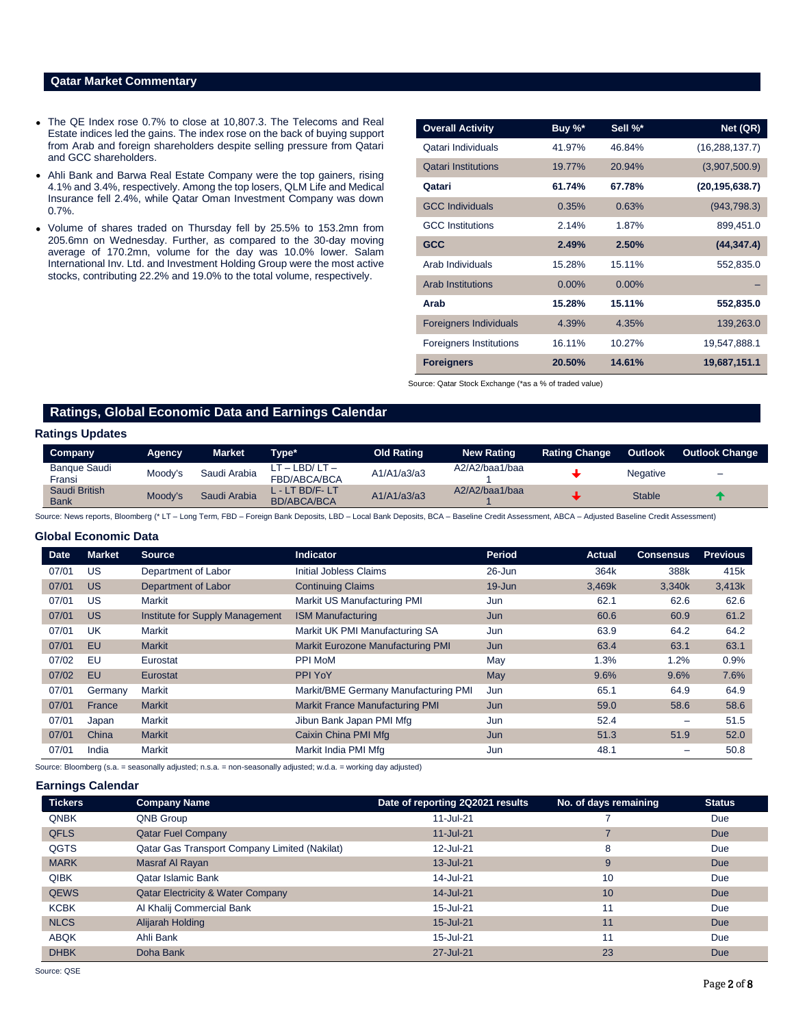## **Qatar Market Commentary**

- The QE Index rose 0.7% to close at 10,807.3. The Telecoms and Real Estate indices led the gains. The index rose on the back of buying support from Arab and foreign shareholders despite selling pressure from Qatari and GCC shareholders.
- Ahli Bank and Barwa Real Estate Company were the top gainers, rising 4.1% and 3.4%, respectively. Among the top losers, QLM Life and Medical Insurance fell 2.4%, while Qatar Oman Investment Company was down 0.7%.
- Volume of shares traded on Thursday fell by 25.5% to 153.2mn from 205.6mn on Wednesday. Further, as compared to the 30-day moving average of 170.2mn, volume for the day was 10.0% lower. Salam International Inv. Ltd. and Investment Holding Group were the most active stocks, contributing 22.2% and 19.0% to the total volume, respectively.

| <b>Overall Activity</b>        | Buy %* | Sell %* | Net (QR)         |
|--------------------------------|--------|---------|------------------|
| Qatari Individuals             | 41.97% | 46.84%  | (16, 288, 137.7) |
| <b>Qatari Institutions</b>     | 19.77% | 20.94%  | (3,907,500.9)    |
| Qatari                         | 61.74% | 67.78%  | (20, 195, 638.7) |
| <b>GCC Individuals</b>         | 0.35%  | 0.63%   | (943, 798.3)     |
| <b>GCC</b> Institutions        | 2.14%  | 1.87%   | 899,451.0        |
| <b>GCC</b>                     | 2.49%  | 2.50%   | (44, 347.4)      |
| Arab Individuals               | 15.28% | 15.11%  | 552,835.0        |
| <b>Arab Institutions</b>       | 0.00%  | 0.00%   |                  |
| Arab                           | 15.28% | 15.11%  | 552,835.0        |
| <b>Foreigners Individuals</b>  | 4.39%  | 4.35%   | 139,263.0        |
| <b>Foreigners Institutions</b> | 16.11% | 10.27%  | 19,547,888.1     |
| <b>Foreigners</b>              | 20.50% | 14.61%  | 19,687,151.1     |

Source: Qatar Stock Exchange (\*as a % of traded value)

## **Ratings, Global Economic Data and Earnings Calendar**

### **Ratings Updates**

| Company                       | Agency. | <b>Market</b> | Tvpe*                                 | <b>Old Rating</b> | <b>New Rating</b> | <b>Rating Change</b> | <b>Outlook</b> | <b>Outlook Change</b>    |
|-------------------------------|---------|---------------|---------------------------------------|-------------------|-------------------|----------------------|----------------|--------------------------|
| <b>Bangue Saudi</b><br>Fransi | Moody's | Saudi Arabia  | ' – LBD/ LT –<br>FBD/ABCA/BCA         | A1/A1/a3/a3       | A2/A2/baa1/baa    |                      | Negative       | $\overline{\phantom{a}}$ |
| Saudi British<br><b>Bank</b>  | Moody's | Saudi Arabia  | L - LT BD/F- LT<br><b>BD/ABCA/BCA</b> | A1/A1/a3/a3       | A2/A2/baa1/baa    |                      | <b>Stable</b>  |                          |

Source: News reports, Bloomberg (\* LT - Long Term, FBD - Foreign Bank Deposits, LBD - Local Bank Deposits, BCA - Baseline Credit Assessment, ABCA - Adjusted Baseline Credit Assessment)

#### **Global Economic Data**

| <b>Date</b> | <b>Market</b> | <b>Source</b>                   | <b>Indicator</b>                       | Period     | Actual | <b>Consensus</b> | <b>Previous</b> |
|-------------|---------------|---------------------------------|----------------------------------------|------------|--------|------------------|-----------------|
| 07/01       | US            | Department of Labor             | Initial Jobless Claims                 | $26 - Jun$ | 364k   | 388k             | 415k            |
| 07/01       | <b>US</b>     | Department of Labor             | <b>Continuing Claims</b>               | $19 - Jun$ | 3,469k | 3,340k           | 3,413k          |
| 07/01       | US            | Markit                          | Markit US Manufacturing PMI            | Jun        | 62.1   | 62.6             | 62.6            |
| 07/01       | <b>US</b>     | Institute for Supply Management | <b>ISM Manufacturing</b>               | Jun        | 60.6   | 60.9             | 61.2            |
| 07/01       | UK            | Markit                          | Markit UK PMI Manufacturing SA         | Jun        | 63.9   | 64.2             | 64.2            |
| 07/01       | EU            | <b>Markit</b>                   | Markit Eurozone Manufacturing PMI      | Jun        | 63.4   | 63.1             | 63.1            |
| 07/02       | EU            | Eurostat                        | PPI MoM                                | Mav        | 1.3%   | 1.2%             | 0.9%            |
| 07/02       | EU            | Eurostat                        | PPI YoY                                | May        | 9.6%   | 9.6%             | 7.6%            |
| 07/01       | Germany       | Markit                          | Markit/BME Germany Manufacturing PMI   | Jun        | 65.1   | 64.9             | 64.9            |
| 07/01       | France        | <b>Markit</b>                   | <b>Markit France Manufacturing PMI</b> | Jun        | 59.0   | 58.6             | 58.6            |
| 07/01       | Japan         | Markit                          | Jibun Bank Japan PMI Mfg               | Jun        | 52.4   |                  | 51.5            |
| 07/01       | China         | <b>Markit</b>                   | Caixin China PMI Mfg                   | Jun        | 51.3   | 51.9             | 52.0            |
| 07/01       | India         | Markit                          | Markit India PMI Mfg                   | Jun        | 48.1   |                  | 50.8            |

Source: Bloomberg (s.a. = seasonally adjusted; n.s.a. = non-seasonally adjusted; w.d.a. = working day adjusted)

### **Earnings Calendar**

| <b>Tickers</b> | <b>Company Name</b>                           | Date of reporting 2Q2021 results | No. of days remaining | <b>Status</b> |
|----------------|-----------------------------------------------|----------------------------------|-----------------------|---------------|
| <b>QNBK</b>    | QNB Group                                     | $11 -$ Jul-21                    |                       | Due           |
| <b>QFLS</b>    | <b>Qatar Fuel Company</b>                     | $11 -$ Jul-21                    |                       | Due           |
| QGTS           | Qatar Gas Transport Company Limited (Nakilat) | 12-Jul-21                        | 8                     | Due           |
| <b>MARK</b>    | Masraf Al Rayan                               | 13-Jul-21                        | 9                     | Due           |
| <b>QIBK</b>    | <b>Qatar Islamic Bank</b>                     | 14-Jul-21                        | 10                    | Due           |
| <b>QEWS</b>    | <b>Qatar Electricity &amp; Water Company</b>  | 14-Jul-21                        | 10                    | Due           |
| <b>KCBK</b>    | Al Khalij Commercial Bank                     | 15-Jul-21                        | 11                    | Due           |
| <b>NLCS</b>    | Alijarah Holding                              | $15 -$ Jul $-21$                 | 11                    | Due           |
| <b>ABQK</b>    | Ahli Bank                                     | 15-Jul-21                        | 11                    | Due           |
| <b>DHBK</b>    | Doha Bank                                     | 27-Jul-21                        | 23                    | Due           |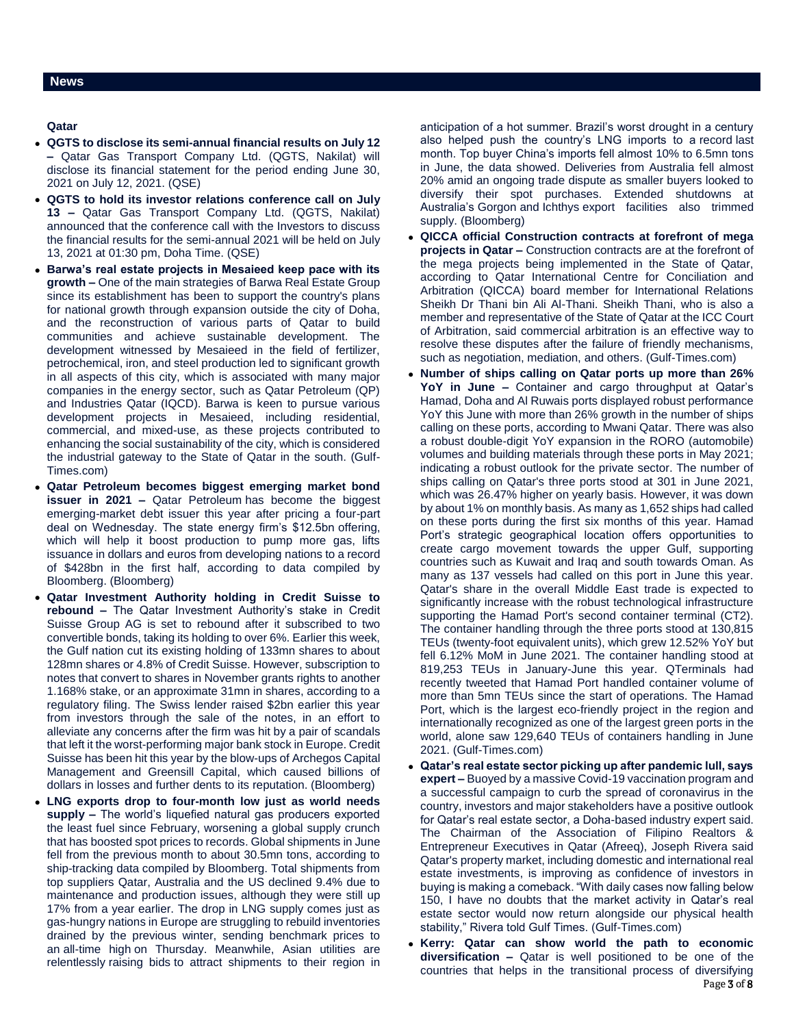## **Qatar**

- **QGTS to disclose its semi-annual financial results on July 12 –** Qatar Gas Transport Company Ltd. (QGTS, Nakilat) will disclose its financial statement for the period ending June 30, 2021 on July 12, 2021. (QSE)
- **QGTS to hold its investor relations conference call on July 13 –** Qatar Gas Transport Company Ltd. (QGTS, Nakilat) announced that the conference call with the Investors to discuss the financial results for the semi-annual 2021 will be held on July 13, 2021 at 01:30 pm, Doha Time. (QSE)
- **Barwa's real estate projects in Mesaieed keep pace with its growth –** One of the main strategies of Barwa Real Estate Group since its establishment has been to support the country's plans for national growth through expansion outside the city of Doha, and the reconstruction of various parts of Qatar to build communities and achieve sustainable development. The development witnessed by Mesaieed in the field of fertilizer, petrochemical, iron, and steel production led to significant growth in all aspects of this city, which is associated with many major companies in the energy sector, such as Qatar Petroleum (QP) and Industries Qatar (IQCD). Barwa is keen to pursue various development projects in Mesaieed, including residential, commercial, and mixed-use, as these projects contributed to enhancing the social sustainability of the city, which is considered the industrial gateway to the State of Qatar in the south. (Gulf-Times.com)
- **Qatar Petroleum becomes biggest emerging market bond issuer in 2021 –** Qatar Petroleum has become the biggest emerging-market debt issuer this year after pricing a four-part deal on Wednesday. The state energy firm's \$12.5bn offering, which will help it boost production to pump more gas, lifts issuance in dollars and euros from developing nations to a record of \$428bn in the first half, according to data compiled by Bloomberg. (Bloomberg)
- **Qatar Investment Authority holding in Credit Suisse to rebound –** The Qatar Investment Authority's stake in Credit Suisse Group AG is set to rebound after it subscribed to two convertible bonds, taking its holding to over 6%. Earlier this week, the Gulf nation cut its existing holding of 133mn shares to about 128mn shares or 4.8% of Credit Suisse. However, subscription to notes that convert to shares in November grants rights to another 1.168% stake, or an approximate 31mn in shares, according to a regulatory filing. The Swiss lender raised \$2bn earlier this year from investors through the sale of the notes, in an effort to alleviate any concerns after the firm was hit by a pair of scandals that left it the worst-performing major bank stock in Europe. Credit Suisse has been hit this year by the blow-ups of Archegos Capital Management and Greensill Capital, which caused billions of dollars in losses and further dents to its reputation. (Bloomberg)
- **LNG exports drop to four-month low just as world needs supply –** The world's liquefied natural gas producers exported the least fuel since February, worsening a global supply crunch that has boosted spot prices to records. Global shipments in June fell from the previous month to about 30.5mn tons, according to ship-tracking data compiled by Bloomberg. Total shipments from top suppliers Qatar, Australia and the US declined 9.4% due to maintenance and production issues, although they were still up 17% from a year earlier. The drop in LNG supply comes just as gas-hungry nations in Europe are struggling to rebuild inventories drained by the previous winter, sending benchmark prices to an all-time high on Thursday. Meanwhile, Asian utilities are relentlessly raising bids to attract shipments to their region in

anticipation of a hot summer. Brazil's worst drought in a century also helped push the country's LNG imports to a record last month. Top buyer China's imports fell almost 10% to 6.5mn tons in June, the data showed. Deliveries from Australia fell almost 20% amid an ongoing trade dispute as smaller buyers looked to diversify their spot purchases. Extended shutdowns at Australia's Gorgon and Ichthys export facilities also trimmed supply. (Bloomberg)

- **QICCA official Construction contracts at forefront of mega projects in Qatar –** Construction contracts are at the forefront of the mega projects being implemented in the State of Qatar, according to Qatar International Centre for Conciliation and Arbitration (QICCA) board member for International Relations Sheikh Dr Thani bin Ali Al-Thani. Sheikh Thani, who is also a member and representative of the State of Qatar at the ICC Court of Arbitration, said commercial arbitration is an effective way to resolve these disputes after the failure of friendly mechanisms, such as negotiation, mediation, and others. (Gulf-Times.com)
- **Number of ships calling on Qatar ports up more than 26% YoY in June –** Container and cargo throughput at Qatar's Hamad, Doha and Al Ruwais ports displayed robust performance YoY this June with more than 26% growth in the number of ships calling on these ports, according to Mwani Qatar. There was also a robust double-digit YoY expansion in the RORO (automobile) volumes and building materials through these ports in May 2021; indicating a robust outlook for the private sector. The number of ships calling on Qatar's three ports stood at 301 in June 2021, which was 26.47% higher on yearly basis. However, it was down by about 1% on monthly basis. As many as 1,652 ships had called on these ports during the first six months of this year. Hamad Port's strategic geographical location offers opportunities to create cargo movement towards the upper Gulf, supporting countries such as Kuwait and Iraq and south towards Oman. As many as 137 vessels had called on this port in June this year. Qatar's share in the overall Middle East trade is expected to significantly increase with the robust technological infrastructure supporting the Hamad Port's second container terminal (CT2). The container handling through the three ports stood at 130,815 TEUs (twenty-foot equivalent units), which grew 12.52% YoY but fell 6.12% MoM in June 2021. The container handling stood at 819,253 TEUs in January-June this year. QTerminals had recently tweeted that Hamad Port handled container volume of more than 5mn TEUs since the start of operations. The Hamad Port, which is the largest eco-friendly project in the region and internationally recognized as one of the largest green ports in the world, alone saw 129,640 TEUs of containers handling in June 2021. (Gulf-Times.com)
- **Qatar's real estate sector picking up after pandemic lull, says expert –** Buoyed by a massive Covid-19 vaccination program and a successful campaign to curb the spread of coronavirus in the country, investors and major stakeholders have a positive outlook for Qatar's real estate sector, a Doha-based industry expert said. The Chairman of the Association of Filipino Realtors & Entrepreneur Executives in Qatar (Afreeq), Joseph Rivera said Qatar's property market, including domestic and international real estate investments, is improving as confidence of investors in buying is making a comeback. "With daily cases now falling below 150, I have no doubts that the market activity in Qatar's real estate sector would now return alongside our physical health stability," Rivera told Gulf Times. (Gulf-Times.com)
- Page 3 of 8 **Kerry: Qatar can show world the path to economic diversification –** Qatar is well positioned to be one of the countries that helps in the transitional process of diversifying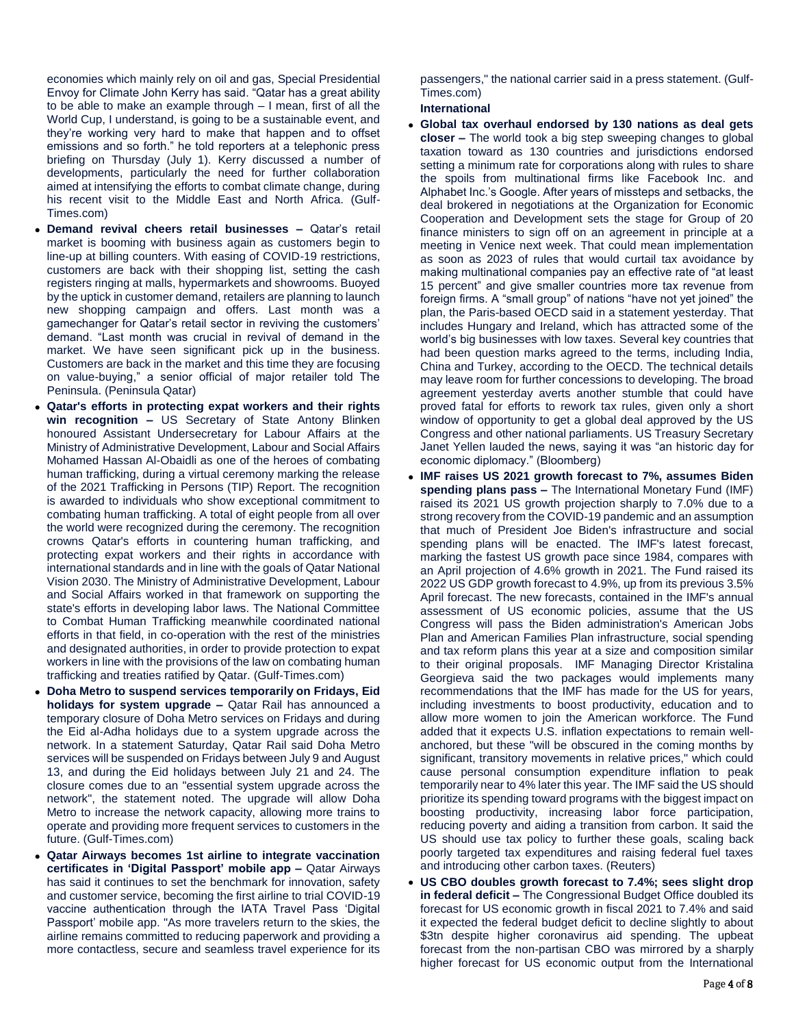economies which mainly rely on oil and gas, Special Presidential Envoy for Climate John Kerry has said. "Qatar has a great ability to be able to make an example through – I mean, first of all the World Cup, I understand, is going to be a sustainable event, and they're working very hard to make that happen and to offset emissions and so forth." he told reporters at a telephonic press briefing on Thursday (July 1). Kerry discussed a number of developments, particularly the need for further collaboration aimed at intensifying the efforts to combat climate change, during his recent visit to the Middle East and North Africa. (Gulf-Times.com)

- **Demand revival cheers retail businesses –** Qatar's retail market is booming with business again as customers begin to line-up at billing counters. With easing of COVID-19 restrictions, customers are back with their shopping list, setting the cash registers ringing at malls, hypermarkets and showrooms. Buoyed by the uptick in customer demand, retailers are planning to launch new shopping campaign and offers. Last month was a gamechanger for Qatar's retail sector in reviving the customers' demand. "Last month was crucial in revival of demand in the market. We have seen significant pick up in the business. Customers are back in the market and this time they are focusing on value-buying," a senior official of major retailer told The Peninsula. (Peninsula Qatar)
- **Qatar's efforts in protecting expat workers and their rights win recognition –** US Secretary of State Antony Blinken honoured Assistant Undersecretary for Labour Affairs at the Ministry of Administrative Development, Labour and Social Affairs Mohamed Hassan Al-Obaidli as one of the heroes of combating human trafficking, during a virtual ceremony marking the release of the 2021 Trafficking in Persons (TIP) Report. The recognition is awarded to individuals who show exceptional commitment to combating human trafficking. A total of eight people from all over the world were recognized during the ceremony. The recognition crowns Qatar's efforts in countering human trafficking, and protecting expat workers and their rights in accordance with international standards and in line with the goals of Qatar National Vision 2030. The Ministry of Administrative Development, Labour and Social Affairs worked in that framework on supporting the state's efforts in developing labor laws. The National Committee to Combat Human Trafficking meanwhile coordinated national efforts in that field, in co-operation with the rest of the ministries and designated authorities, in order to provide protection to expat workers in line with the provisions of the law on combating human trafficking and treaties ratified by Qatar. (Gulf-Times.com)
- **Doha Metro to suspend services temporarily on Fridays, Eid holidays for system upgrade –** Qatar Rail has announced a temporary closure of Doha Metro services on Fridays and during the Eid al-Adha holidays due to a system upgrade across the network. In a statement Saturday, Qatar Rail said Doha Metro services will be suspended on Fridays between July 9 and August 13, and during the Eid holidays between July 21 and 24. The closure comes due to an "essential system upgrade across the network", the statement noted. The upgrade will allow Doha Metro to increase the network capacity, allowing more trains to operate and providing more frequent services to customers in the future. (Gulf-Times.com)
- **Qatar Airways becomes 1st airline to integrate vaccination certificates in 'Digital Passport' mobile app –** Qatar Airways has said it continues to set the benchmark for innovation, safety and customer service, becoming the first airline to trial COVID-19 vaccine authentication through the IATA Travel Pass 'Digital Passport' mobile app. "As more travelers return to the skies, the airline remains committed to reducing paperwork and providing a more contactless, secure and seamless travel experience for its

passengers," the national carrier said in a press statement. (Gulf-Times.com)

**International**

- **Global tax overhaul endorsed by 130 nations as deal gets closer –** The world took a big step sweeping changes to global taxation toward as 130 countries and jurisdictions endorsed setting a minimum rate for corporations along with rules to share the spoils from multinational firms like Facebook Inc. and Alphabet Inc.'s Google. After years of missteps and setbacks, the deal brokered in negotiations at the Organization for Economic Cooperation and Development sets the stage for Group of 20 finance ministers to sign off on an agreement in principle at a meeting in Venice next week. That could mean implementation as soon as 2023 of rules that would curtail tax avoidance by making multinational companies pay an effective rate of "at least 15 percent" and give smaller countries more tax revenue from foreign firms. A "small group" of nations "have not yet joined" the plan, the Paris-based OECD said in a statement yesterday. That includes Hungary and Ireland, which has attracted some of the world's big businesses with low taxes. Several key countries that had been question marks agreed to the terms, including India, China and Turkey, according to the OECD. The technical details may leave room for further concessions to developing. The broad agreement yesterday averts another stumble that could have proved fatal for efforts to rework tax rules, given only a short window of opportunity to get a global deal approved by the US Congress and other national parliaments. US Treasury Secretary Janet Yellen lauded the news, saying it was "an historic day for economic diplomacy." (Bloomberg)
- **IMF raises US 2021 growth forecast to 7%, assumes Biden spending plans pass –** The International Monetary Fund (IMF) raised its 2021 US growth projection sharply to 7.0% due to a strong recovery from the COVID-19 pandemic and an assumption that much of President Joe Biden's infrastructure and social spending plans will be enacted. The IMF's latest forecast, marking the fastest US growth pace since 1984, compares with an April projection of 4.6% growth in 2021. The Fund raised its 2022 US GDP growth forecast to 4.9%, up from its previous 3.5% April forecast. The new forecasts, contained in the IMF's annual assessment of US economic policies, assume that the US Congress will pass the Biden administration's American Jobs Plan and American Families Plan infrastructure, social spending and tax reform plans this year at a size and composition similar to their original proposals. IMF Managing Director Kristalina Georgieva said the two packages would implements many recommendations that the IMF has made for the US for years, including investments to boost productivity, education and to allow more women to join the American workforce. The Fund added that it expects U.S. inflation expectations to remain wellanchored, but these "will be obscured in the coming months by significant, transitory movements in relative prices," which could cause personal consumption expenditure inflation to peak temporarily near to 4% later this year. The IMF said the US should prioritize its spending toward programs with the biggest impact on boosting productivity, increasing labor force participation, reducing poverty and aiding a transition from carbon. It said the US should use tax policy to further these goals, scaling back poorly targeted tax expenditures and raising federal fuel taxes and introducing other carbon taxes. (Reuters)
- **US CBO doubles growth forecast to 7.4%; sees slight drop in federal deficit –** The Congressional Budget Office doubled its forecast for US economic growth in fiscal 2021 to 7.4% and said it expected the federal budget deficit to decline slightly to about \$3tn despite higher coronavirus aid spending. The upbeat forecast from the non-partisan CBO was mirrored by a sharply higher forecast for US economic output from the International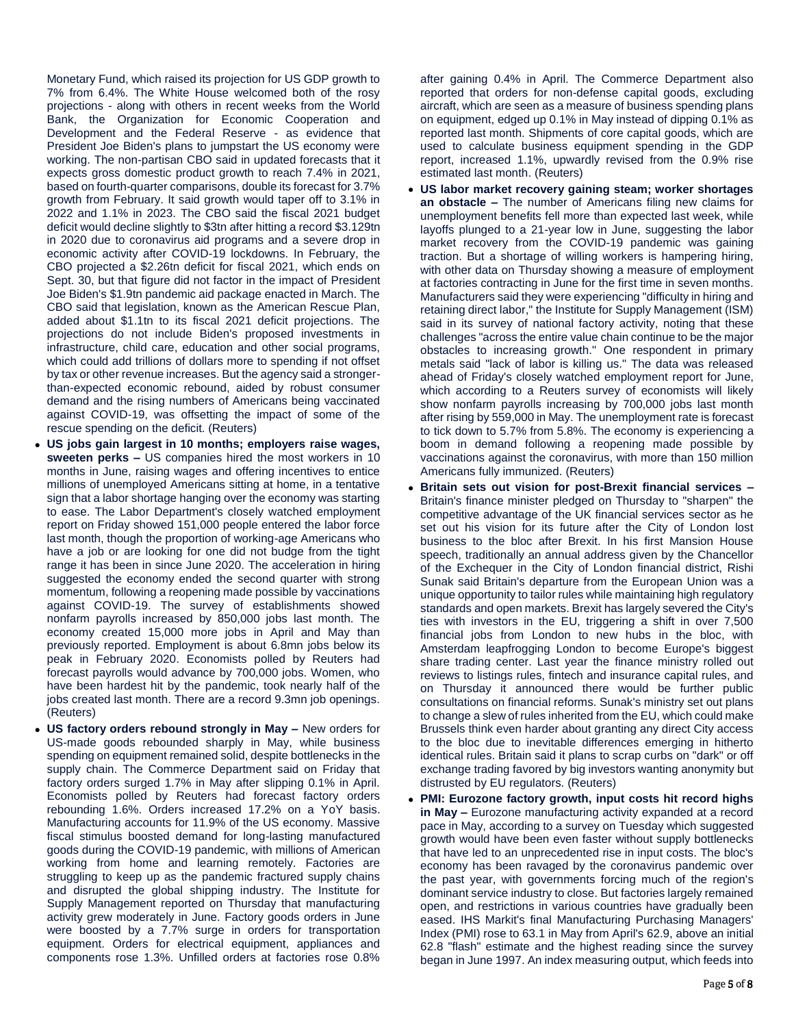Monetary Fund, which raised its projection for US GDP growth to 7% from 6.4%. The White House welcomed both of the rosy projections - along with others in recent weeks from the World Bank, the Organization for Economic Cooperation and Development and the Federal Reserve - as evidence that President Joe Biden's plans to jumpstart the US economy were working. The non-partisan CBO said in updated forecasts that it expects gross domestic product growth to reach 7.4% in 2021, based on fourth-quarter comparisons, double its forecast for 3.7% growth from February. It said growth would taper off to 3.1% in 2022 and 1.1% in 2023. The CBO said the fiscal 2021 budget deficit would decline slightly to \$3tn after hitting a record \$3.129tn in 2020 due to coronavirus aid programs and a severe drop in economic activity after COVID-19 lockdowns. In February, the CBO projected a \$2.26tn deficit for fiscal 2021, which ends on Sept. 30, but that figure did not factor in the impact of President Joe Biden's \$1.9tn pandemic aid package enacted in March. The CBO said that legislation, known as the American Rescue Plan, added about \$1.1tn to its fiscal 2021 deficit projections. The projections do not include Biden's proposed investments in infrastructure, child care, education and other social programs, which could add trillions of dollars more to spending if not offset by tax or other revenue increases. But the agency said a strongerthan-expected economic rebound, aided by robust consumer demand and the rising numbers of Americans being vaccinated against COVID-19, was offsetting the impact of some of the rescue spending on the deficit. (Reuters)

- **US jobs gain largest in 10 months; employers raise wages, sweeten perks –** US companies hired the most workers in 10 months in June, raising wages and offering incentives to entice millions of unemployed Americans sitting at home, in a tentative sign that a labor shortage hanging over the economy was starting to ease. The Labor Department's closely watched employment report on Friday showed 151,000 people entered the labor force last month, though the proportion of working-age Americans who have a job or are looking for one did not budge from the tight range it has been in since June 2020. The acceleration in hiring suggested the economy ended the second quarter with strong momentum, following a reopening made possible by vaccinations against COVID-19. The survey of establishments showed nonfarm payrolls increased by 850,000 jobs last month. The economy created 15,000 more jobs in April and May than previously reported. Employment is about 6.8mn jobs below its peak in February 2020. Economists polled by Reuters had forecast payrolls would advance by 700,000 jobs. Women, who have been hardest hit by the pandemic, took nearly half of the jobs created last month. There are a record 9.3mn job openings. (Reuters)
- **US factory orders rebound strongly in May –** New orders for US-made goods rebounded sharply in May, while business spending on equipment remained solid, despite bottlenecks in the supply chain. The Commerce Department said on Friday that factory orders surged 1.7% in May after slipping 0.1% in April. Economists polled by Reuters had forecast factory orders rebounding 1.6%. Orders increased 17.2% on a YoY basis. Manufacturing accounts for 11.9% of the US economy. Massive fiscal stimulus boosted demand for long-lasting manufactured goods during the COVID-19 pandemic, with millions of American working from home and learning remotely. Factories are struggling to keep up as the pandemic fractured supply chains and disrupted the global shipping industry. The Institute for Supply Management reported on Thursday that manufacturing activity grew moderately in June. Factory goods orders in June were boosted by a 7.7% surge in orders for transportation equipment. Orders for electrical equipment, appliances and components rose 1.3%. Unfilled orders at factories rose 0.8%

after gaining 0.4% in April. The Commerce Department also reported that orders for non-defense capital goods, excluding aircraft, which are seen as a measure of business spending plans on equipment, edged up 0.1% in May instead of dipping 0.1% as reported last month. Shipments of core capital goods, which are used to calculate business equipment spending in the GDP report, increased 1.1%, upwardly revised from the 0.9% rise estimated last month. (Reuters)

- **US labor market recovery gaining steam; worker shortages an obstacle –** The number of Americans filing new claims for unemployment benefits fell more than expected last week, while layoffs plunged to a 21-year low in June, suggesting the labor market recovery from the COVID-19 pandemic was gaining traction. But a shortage of willing workers is hampering hiring, with other data on Thursday showing a measure of employment at factories contracting in June for the first time in seven months. Manufacturers said they were experiencing "difficulty in hiring and retaining direct labor," the Institute for Supply Management (ISM) said in its survey of national factory activity, noting that these challenges "across the entire value chain continue to be the major obstacles to increasing growth." One respondent in primary metals said "lack of labor is killing us." The data was released ahead of Friday's closely watched employment report for June, which according to a Reuters survey of economists will likely show nonfarm payrolls increasing by 700,000 jobs last month after rising by 559,000 in May. The unemployment rate is forecast to tick down to 5.7% from 5.8%. The economy is experiencing a boom in demand following a reopening made possible by vaccinations against the coronavirus, with more than 150 million Americans fully immunized. (Reuters)
- **Britain sets out vision for post-Brexit financial services –** Britain's finance minister pledged on Thursday to "sharpen" the competitive advantage of the UK financial services sector as he set out his vision for its future after the City of London lost business to the bloc after Brexit. In his first Mansion House speech, traditionally an annual address given by the Chancellor of the Exchequer in the City of London financial district, Rishi Sunak said Britain's departure from the European Union was a unique opportunity to tailor rules while maintaining high regulatory standards and open markets. Brexit has largely severed the City's ties with investors in the EU, triggering a shift in over 7,500 financial jobs from London to new hubs in the bloc, with Amsterdam leapfrogging London to become Europe's biggest share trading center. Last year the finance ministry rolled out reviews to listings rules, fintech and insurance capital rules, and on Thursday it announced there would be further public consultations on financial reforms. Sunak's ministry set out plans to change a slew of rules inherited from the EU, which could make Brussels think even harder about granting any direct City access to the bloc due to inevitable differences emerging in hitherto identical rules. Britain said it plans to scrap curbs on "dark" or off exchange trading favored by big investors wanting anonymity but distrusted by EU regulators. (Reuters)
- **PMI: Eurozone factory growth, input costs hit record highs in May –** Eurozone manufacturing activity expanded at a record pace in May, according to a survey on Tuesday which suggested growth would have been even faster without supply bottlenecks that have led to an unprecedented rise in input costs. The bloc's economy has been ravaged by the coronavirus pandemic over the past year, with governments forcing much of the region's dominant service industry to close. But factories largely remained open, and restrictions in various countries have gradually been eased. IHS Markit's final Manufacturing Purchasing Managers' Index (PMI) rose to 63.1 in May from April's 62.9, above an initial 62.8 "flash" estimate and the highest reading since the survey began in June 1997. An index measuring output, which feeds into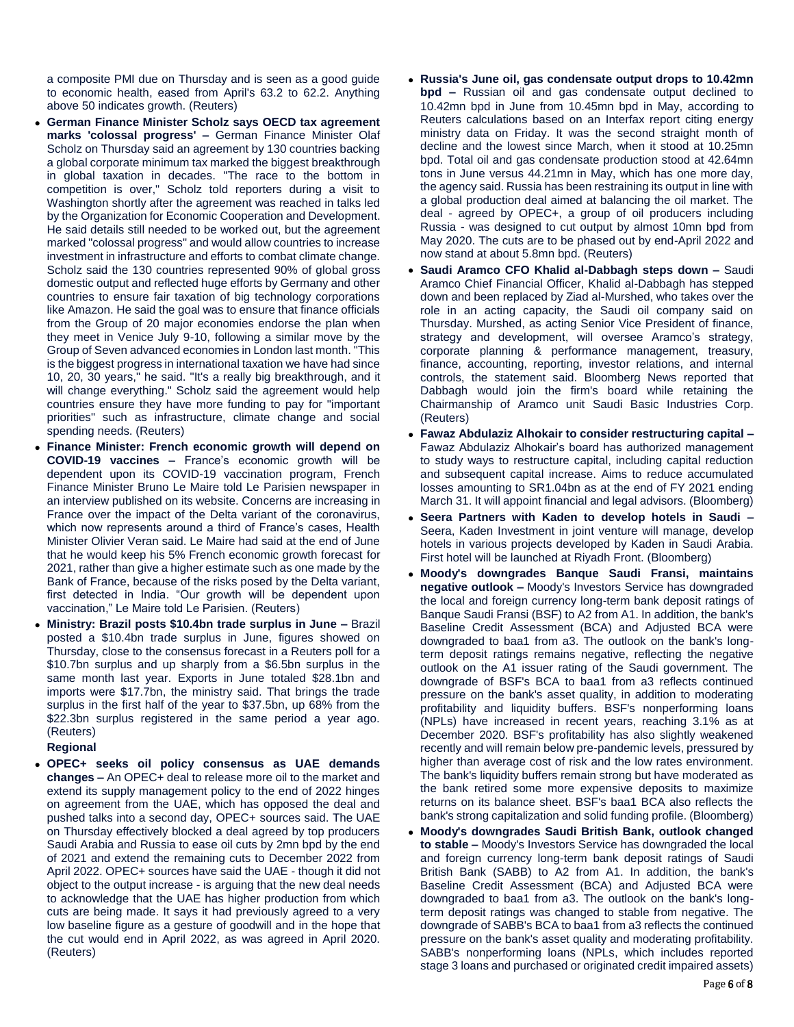a composite PMI due on Thursday and is seen as a good guide to economic health, eased from April's 63.2 to 62.2. Anything above 50 indicates growth. (Reuters)

- **German Finance Minister Scholz says OECD tax agreement marks 'colossal progress' –** German Finance Minister Olaf Scholz on Thursday said an agreement by 130 countries backing a global corporate minimum tax marked the biggest breakthrough in global taxation in decades. "The race to the bottom in competition is over," Scholz told reporters during a visit to Washington shortly after the agreement was reached in talks led by the Organization for Economic Cooperation and Development. He said details still needed to be worked out, but the agreement marked "colossal progress" and would allow countries to increase investment in infrastructure and efforts to combat climate change. Scholz said the 130 countries represented 90% of global gross domestic output and reflected huge efforts by Germany and other countries to ensure fair taxation of big technology corporations like Amazon. He said the goal was to ensure that finance officials from the Group of 20 major economies endorse the plan when they meet in Venice July 9-10, following a similar move by the Group of Seven advanced economies in London last month. "This is the biggest progress in international taxation we have had since 10, 20, 30 years," he said. "It's a really big breakthrough, and it will change everything." Scholz said the agreement would help countries ensure they have more funding to pay for "important priorities" such as infrastructure, climate change and social spending needs. (Reuters)
- **Finance Minister: French economic growth will depend on COVID-19 vaccines –** France's economic growth will be dependent upon its COVID-19 vaccination program, French Finance Minister Bruno Le Maire told Le Parisien newspaper in an interview published on its website. Concerns are increasing in France over the impact of the Delta variant of the coronavirus, which now represents around a third of France's cases. Health Minister Olivier Veran said. Le Maire had said at the end of June that he would keep his 5% French economic growth forecast for 2021, rather than give a higher estimate such as one made by the Bank of France, because of the risks posed by the Delta variant, first detected in India. "Our growth will be dependent upon vaccination," Le Maire told Le Parisien. (Reuters)
- **Ministry: Brazil posts \$10.4bn trade surplus in June –** Brazil posted a \$10.4bn trade surplus in June, figures showed on Thursday, close to the consensus forecast in a Reuters poll for a \$10.7bn surplus and up sharply from a \$6.5bn surplus in the same month last year. Exports in June totaled \$28.1bn and imports were \$17.7bn, the ministry said. That brings the trade surplus in the first half of the year to \$37.5bn, up 68% from the \$22.3bn surplus registered in the same period a year ago. (Reuters)

**Regional**

 **OPEC+ seeks oil policy consensus as UAE demands changes –** An OPEC+ deal to release more oil to the market and extend its supply management policy to the end of 2022 hinges on agreement from the UAE, which has opposed the deal and pushed talks into a second day, OPEC+ sources said. The UAE on Thursday effectively blocked a deal agreed by top producers Saudi Arabia and Russia to ease oil cuts by 2mn bpd by the end of 2021 and extend the remaining cuts to December 2022 from April 2022. OPEC+ sources have said the UAE - though it did not object to the output increase - is arguing that the new deal needs to acknowledge that the UAE has higher production from which cuts are being made. It says it had previously agreed to a very low baseline figure as a gesture of goodwill and in the hope that the cut would end in April 2022, as was agreed in April 2020. (Reuters)

- **Russia's June oil, gas condensate output drops to 10.42mn bpd –** Russian oil and gas condensate output declined to 10.42mn bpd in June from 10.45mn bpd in May, according to Reuters calculations based on an Interfax report citing energy ministry data on Friday. It was the second straight month of decline and the lowest since March, when it stood at 10.25mn bpd. Total oil and gas condensate production stood at 42.64mn tons in June versus 44.21mn in May, which has one more day, the agency said. Russia has been restraining its output in line with a global production deal aimed at balancing the oil market. The deal - agreed by OPEC+, a group of oil producers including Russia - was designed to cut output by almost 10mn bpd from May 2020. The cuts are to be phased out by end-April 2022 and now stand at about 5.8mn bpd. (Reuters)
- **Saudi Aramco CFO Khalid al-Dabbagh steps down –** Saudi Aramco Chief Financial Officer, Khalid al-Dabbagh has stepped down and been replaced by Ziad al-Murshed, who takes over the role in an acting capacity, the Saudi oil company said on Thursday. Murshed, as acting Senior Vice President of finance, strategy and development, will oversee Aramco's strategy, corporate planning & performance management, treasury, finance, accounting, reporting, investor relations, and internal controls, the statement said. Bloomberg News reported that Dabbagh would join the firm's board while retaining the Chairmanship of Aramco unit Saudi Basic Industries Corp. (Reuters)
- **Fawaz Abdulaziz Alhokair to consider restructuring capital –** Fawaz Abdulaziz Alhokair's board has authorized management to study ways to restructure capital, including capital reduction and subsequent capital increase. Aims to reduce accumulated losses amounting to SR1.04bn as at the end of FY 2021 ending March 31. It will appoint financial and legal advisors. (Bloomberg)
- **Seera Partners with Kaden to develop hotels in Saudi –** Seera, Kaden Investment in joint venture will manage, develop hotels in various projects developed by Kaden in Saudi Arabia. First hotel will be launched at Riyadh Front. (Bloomberg)
- **Moody's downgrades Banque Saudi Fransi, maintains negative outlook –** Moody's Investors Service has downgraded the local and foreign currency long-term bank deposit ratings of Banque Saudi Fransi (BSF) to A2 from A1. In addition, the bank's Baseline Credit Assessment (BCA) and Adjusted BCA were downgraded to baa1 from a3. The outlook on the bank's longterm deposit ratings remains negative, reflecting the negative outlook on the A1 issuer rating of the Saudi government. The downgrade of BSF's BCA to baa1 from a3 reflects continued pressure on the bank's asset quality, in addition to moderating profitability and liquidity buffers. BSF's nonperforming loans (NPLs) have increased in recent years, reaching 3.1% as at December 2020. BSF's profitability has also slightly weakened recently and will remain below pre-pandemic levels, pressured by higher than average cost of risk and the low rates environment. The bank's liquidity buffers remain strong but have moderated as the bank retired some more expensive deposits to maximize returns on its balance sheet. BSF's baa1 BCA also reflects the bank's strong capitalization and solid funding profile. (Bloomberg)
- **Moody's downgrades Saudi British Bank, outlook changed to stable –** Moody's Investors Service has downgraded the local and foreign currency long-term bank deposit ratings of Saudi British Bank (SABB) to A2 from A1. In addition, the bank's Baseline Credit Assessment (BCA) and Adjusted BCA were downgraded to baa1 from a3. The outlook on the bank's longterm deposit ratings was changed to stable from negative. The downgrade of SABB's BCA to baa1 from a3 reflects the continued pressure on the bank's asset quality and moderating profitability. SABB's nonperforming loans (NPLs, which includes reported stage 3 loans and purchased or originated credit impaired assets)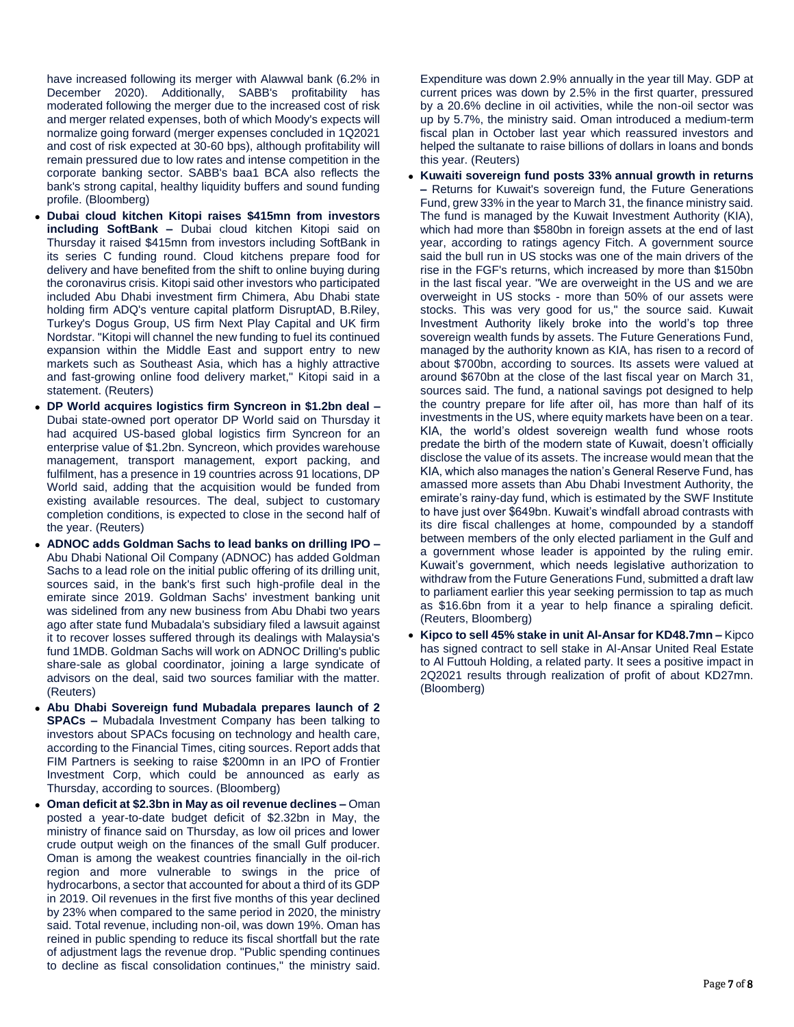have increased following its merger with Alawwal bank (6.2% in December 2020). Additionally, SABB's profitability has moderated following the merger due to the increased cost of risk and merger related expenses, both of which Moody's expects will normalize going forward (merger expenses concluded in 1Q2021 and cost of risk expected at 30-60 bps), although profitability will remain pressured due to low rates and intense competition in the corporate banking sector. SABB's baa1 BCA also reflects the bank's strong capital, healthy liquidity buffers and sound funding profile. (Bloomberg)

- **Dubai cloud kitchen Kitopi raises \$415mn from investors including SoftBank –** Dubai cloud kitchen Kitopi said on Thursday it raised \$415mn from investors including SoftBank in its series C funding round. Cloud kitchens prepare food for delivery and have benefited from the shift to online buying during the coronavirus crisis. Kitopi said other investors who participated included Abu Dhabi investment firm Chimera, Abu Dhabi state holding firm ADQ's venture capital platform DisruptAD, B.Riley, Turkey's Dogus Group, US firm Next Play Capital and UK firm Nordstar. "Kitopi will channel the new funding to fuel its continued expansion within the Middle East and support entry to new markets such as Southeast Asia, which has a highly attractive and fast-growing online food delivery market," Kitopi said in a statement. (Reuters)
- **DP World acquires logistics firm Syncreon in \$1.2bn deal –** Dubai state-owned port operator DP World said on Thursday it had acquired US-based global logistics firm Syncreon for an enterprise value of \$1.2bn. Syncreon, which provides warehouse management, transport management, export packing, and fulfilment, has a presence in 19 countries across 91 locations, DP World said, adding that the acquisition would be funded from existing available resources. The deal, subject to customary completion conditions, is expected to close in the second half of the year. (Reuters)
- **ADNOC adds Goldman Sachs to lead banks on drilling IPO –** Abu Dhabi National Oil Company (ADNOC) has added Goldman Sachs to a lead role on the initial public offering of its drilling unit, sources said, in the bank's first such high-profile deal in the emirate since 2019. Goldman Sachs' investment banking unit was sidelined from any new business from Abu Dhabi two years ago after state fund Mubadala's subsidiary filed a lawsuit against it to recover losses suffered through its dealings with Malaysia's fund 1MDB. Goldman Sachs will work on ADNOC Drilling's public share-sale as global coordinator, joining a large syndicate of advisors on the deal, said two sources familiar with the matter. (Reuters)
- **Abu Dhabi Sovereign fund Mubadala prepares launch of 2 SPACs –** Mubadala Investment Company has been talking to investors about SPACs focusing on technology and health care, according to the Financial Times, citing sources. Report adds that FIM Partners is seeking to raise \$200mn in an IPO of Frontier Investment Corp, which could be announced as early as Thursday, according to sources. (Bloomberg)
- **Oman deficit at \$2.3bn in May as oil revenue declines –** Oman posted a year-to-date budget deficit of \$2.32bn in May, the ministry of finance said on Thursday, as low oil prices and lower crude output weigh on the finances of the small Gulf producer. Oman is among the weakest countries financially in the oil-rich region and more vulnerable to swings in the price of hydrocarbons, a sector that accounted for about a third of its GDP in 2019. Oil revenues in the first five months of this year declined by 23% when compared to the same period in 2020, the ministry said. Total revenue, including non-oil, was down 19%. Oman has reined in public spending to reduce its fiscal shortfall but the rate of adjustment lags the revenue drop. "Public spending continues to decline as fiscal consolidation continues," the ministry said.

Expenditure was down 2.9% annually in the year till May. GDP at current prices was down by 2.5% in the first quarter, pressured by a 20.6% decline in oil activities, while the non-oil sector was up by 5.7%, the ministry said. Oman introduced a medium-term fiscal plan in October last year which reassured investors and helped the sultanate to raise billions of dollars in loans and bonds this year. (Reuters)

- **Kuwaiti sovereign fund posts 33% annual growth in returns –** Returns for Kuwait's sovereign fund, the Future Generations Fund, grew 33% in the year to March 31, the finance ministry said. The fund is managed by the Kuwait Investment Authority (KIA), which had more than \$580bn in foreign assets at the end of last year, according to ratings agency Fitch. A government source said the bull run in US stocks was one of the main drivers of the rise in the FGF's returns, which increased by more than \$150bn in the last fiscal year. "We are overweight in the US and we are overweight in US stocks - more than 50% of our assets were stocks. This was very good for us," the source said. Kuwait Investment Authority likely broke into the world's top three sovereign wealth funds by assets. The Future Generations Fund, managed by the authority known as KIA, has risen to a record of about \$700bn, according to sources. Its assets were valued at around \$670bn at the close of the last fiscal year on March 31, sources said. The fund, a national savings pot designed to help the country prepare for life after oil, has more than half of its investments in the US, where equity markets have been on a tear. KIA, the world's oldest sovereign wealth fund whose roots predate the birth of the modern state of Kuwait, doesn't officially disclose the value of its assets. The increase would mean that the KIA, which also manages the nation's General Reserve Fund, has amassed more assets than Abu Dhabi Investment Authority, the emirate's rainy-day fund, which is estimated by the SWF Institute to have just over \$649bn. Kuwait's windfall abroad contrasts with its dire fiscal challenges at home, compounded by a standoff between members of the only elected parliament in the Gulf and a government whose leader is appointed by the ruling emir. Kuwait's government, which needs legislative authorization to withdraw from the Future Generations Fund, submitted a draft law to parliament earlier this year seeking permission to tap as much as \$16.6bn from it a year to help finance a spiraling deficit. (Reuters, Bloomberg)
- **Kipco to sell 45% stake in unit Al-Ansar for KD48.7mn –** Kipco has signed contract to sell stake in Al-Ansar United Real Estate to Al Futtouh Holding, a related party. It sees a positive impact in 2Q2021 results through realization of profit of about KD27mn. (Bloomberg)